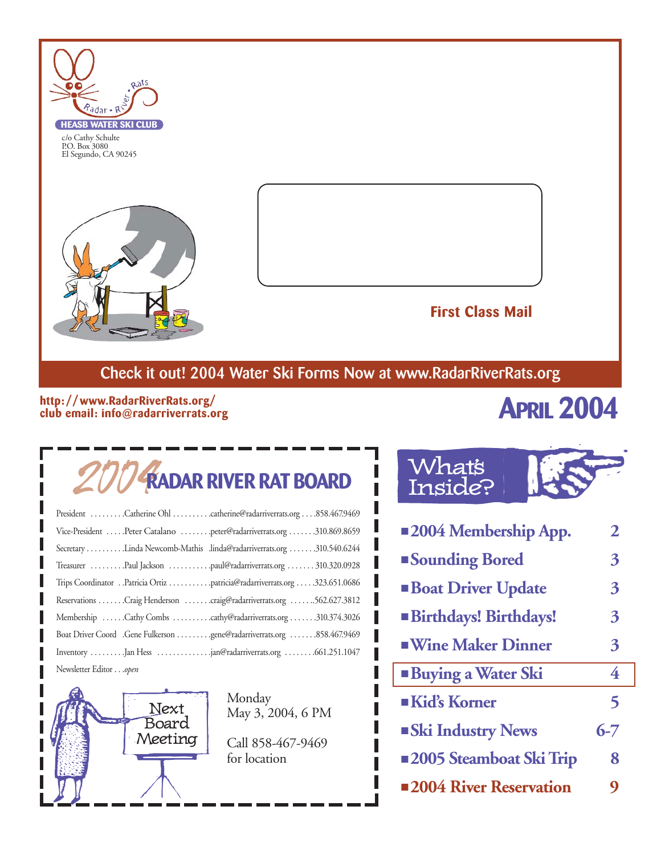

c/o Cathy Schulte P.O. Box 3080 El Segundo, CA 90245





#### **First Class Mail**

### **Check it out! 2004 Water Ski Forms Now at www.RadarRiverRats.org**

#### **http: //www.RadarRiverRats.org/ club email: info@radarriverrats.org**

# **APRIL 2004**

# 2004**RADAR RIVER RAT BOARD**

| President Catherine Ohl catherine@radarriverrats.org858.467.9469          |
|---------------------------------------------------------------------------|
| Vice-President Peter Catalano peter@radarriverrats.org 310.869.8659       |
| Secretary Linda Newcomb-Mathis .linda@radarriverrats.org 310.540.6244     |
| Treasurer Paul Jackson paul@radarriverrats.org 310.320.0928               |
| Trips Coordinator Patricia Ortiz patricia@radarriverrats.org 323.651.0686 |
| Reservations Craig Henderson craig@radarriverrats.org 562.627.3812        |
| Membership Cathy Combs cathy@radarriverrats.org 310.374.3026              |
| Boat Driver Coord .Gene Fulkerson gene@radarriverrats.org 858.467.9469    |
| Inventory Jan Hess jan@radarriverrats.org                                 |
| Newsletter Editoropen                                                     |

Next Board Meeting

Monday May 3, 2004, 6 PM

Call 858-467-9469 for location

### Whats Inside?

| <b>2004 Membership App.</b>    | 2       |
|--------------------------------|---------|
| <b>Sounding Bored</b>          | 3       |
| <b>Boat Driver Update</b>      | 3       |
| <b>Birthdays! Birthdays!</b>   | 3       |
| <b>Wine Maker Dinner</b>       | 3       |
| <b>Buying a Water Ski</b>      | 4       |
| Kid's Korner                   | 5       |
| <b>Ski Industry News</b>       | $6 - 7$ |
| <b>2005 Steamboat Ski Trip</b> | 8       |
| ■2004 River Reservation        | 9       |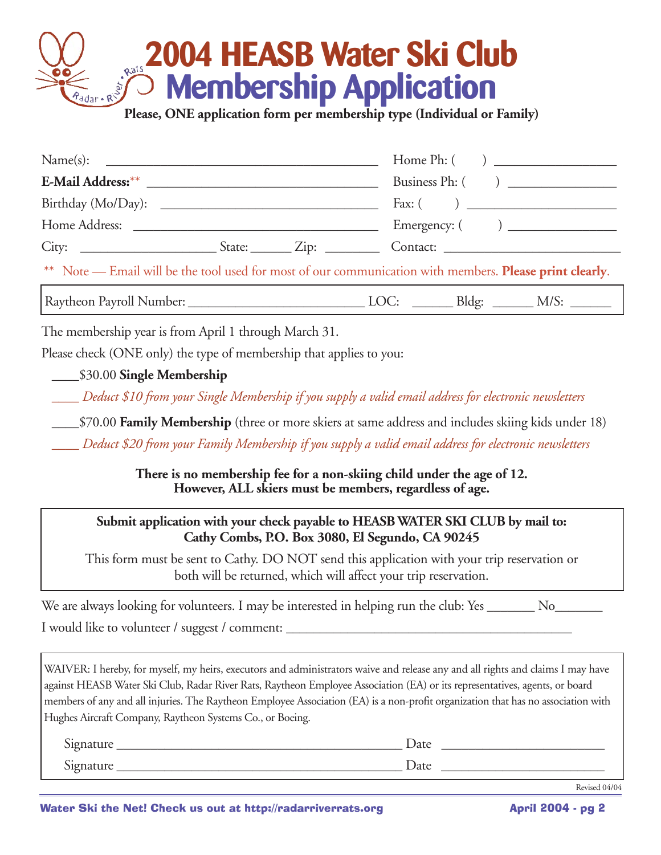# **2004 HEASB Water Ski Club Membership Application**

**Please, ONE application form per membership type (Individual or Family)**

| Name(s):                                                                                                |                 |  |  |
|---------------------------------------------------------------------------------------------------------|-----------------|--|--|
| E-Mail Address: **                                                                                      | Business Ph: () |  |  |
| Birthday (Mo/Day):                                                                                      |                 |  |  |
|                                                                                                         |                 |  |  |
|                                                                                                         |                 |  |  |
| ** Note — Email will be the tool used for most of our communication with members. Please print clearly. |                 |  |  |
|                                                                                                         |                 |  |  |

The membership year is from April 1 through March 31.

Please check (ONE only) the type of membership that applies to you:

\_\_\_\_\$30.00 **Single Membership**

*\_\_\_\_ Deduct \$10 from your Single Membership if you supply a valid email address for electronic newsletters*

\_\_\_\_\$70.00 **Family Membership** (three or more skiers at same address and includes skiing kids under 18)

*\_\_\_\_ Deduct \$20 from your Family Membership if you supply a valid email address for electronic newsletters*

**There is no membership fee for a non-skiing child under the age of 12. However, ALL skiers must be members, regardless of age.**

#### **Submit application with your check payable to HEASB WATER SKI CLUB by mail to: Cathy Combs, P.O. Box 3080, El Segundo, CA 90245**

This form must be sent to Cathy. DO NOT send this application with your trip reservation or both will be returned, which will affect your trip reservation.

| We are always looking for volunteers. I may be interested in helping run the club: Yes ________. |  |
|--------------------------------------------------------------------------------------------------|--|
| I would like to volunteer / suggest / comment:                                                   |  |

WAIVER: I hereby, for myself, my heirs, executors and administrators waive and release any and all rights and claims I may have against HEASB Water Ski Club, Radar River Rats, Raytheon Employee Association (EA) or its representatives, agents, or board members of any and all injuries. The Raytheon Employee Association (EA) is a non-profit organization that has no association with Hughes Aircraft Company, Raytheon Systems Co., or Boeing.

| $\sim$<br>1gnature<br>$\mathbf{v}_{\mathbf{H}}$ | Date |
|-------------------------------------------------|------|
| r.<br>ignature<br>$\mathbf{u}$                  | Date |

Revised 04/04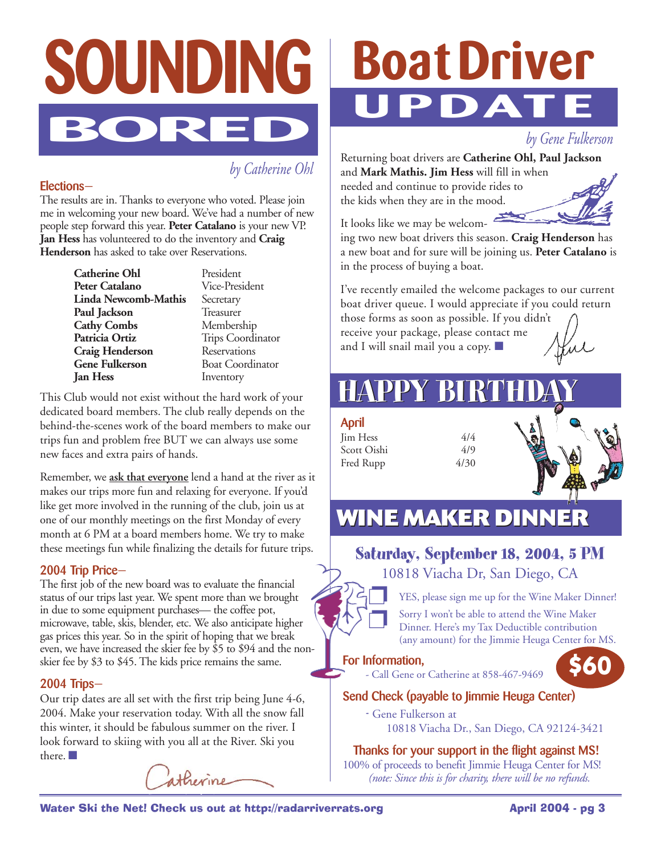

*by Catherine Ohl*

#### **Elections—**

The results are in. Thanks to everyone who voted. Please join me in welcoming your new board. We've had a number of new people step forward this year. **Peter Catalano** is your new VP. **Jan Hess** has volunteered to do the inventory and **Craig Henderson** has asked to take over Reservations.

> **Catherine Ohl** President<br> **Peter Catalano** Vice-President **Peter Catalano Linda Newcomb-Mathis** Secretary **Paul Jackson** Treasurer **Cathy Combs** Membership **Patricia Ortiz** Trips Coordinator<br> **Craig Henderson** Reservations **Craig Henderson**<br>Gene Fulkerson **Gene Fulkerson** Boat Coordinator<br> **Ian Hess** Inventory

**Inventory** 

This Club would not exist without the hard work of your dedicated board members. The club really depends on the behind-the-scenes work of the board members to make our trips fun and problem free BUT we can always use some new faces and extra pairs of hands.

Remember, we **ask that everyone** lend a hand at the river as it makes our trips more fun and relaxing for everyone. If you'd like get more involved in the running of the club, join us at one of our monthly meetings on the first Monday of every month at 6 PM at a board members home. We try to make these meetings fun while finalizing the details for future trips.

#### **2004 Trip Price—**

The first job of the new board was to evaluate the financial status of our trips last year. We spent more than we brought in due to some equipment purchases— the coffee pot, microwave, table, skis, blender, etc. We also anticipate higher gas prices this year. So in the spirit of hoping that we break even, we have increased the skier fee by \$5 to \$94 and the nonskier fee by \$3 to \$45. The kids price remains the same.

#### **2004 Trips—**

Our trip dates are all set with the first trip being June 4-6, 2004. Make your reservation today. With all the snow fall this winter, it should be fabulous summer on the river. I look forward to skiing with you all at the River. Ski you there. ■



# **Boat Driver UPDATE**

*by Gene Fulkerson*

Returning boat drivers are **Catherine Ohl, Paul Jackson** and **Mark Mathis. Jim Hess** will fill in when needed and continue to provide rides to

the kids when they are in the mood.



It looks like we may be welcom-

ing two new boat drivers this season. **Craig Henderson** has a new boat and for sure will be joining us. **Peter Catalano** is in the process of buying a boat.

I've recently emailed the welcome packages to our current boat driver queue. I would appreciate if you could return

those forms as soon as possible. If you didn't receive your package, please contact me and I will snail mail you a copy. ■

# **HAPPY BIRTH**

**April** Jim Hess 4/4 Scott Oishi 4/9 Fred Rupp 4/30

## **WINE MAKER DINNER**

### **Saturday, September 18, 2004, 5 PM**

10818 Viacha Dr, San Diego, CA



YES, please sign me up for the Wine Maker Dinner!

Sorry I won't be able to attend the Wine Maker Dinner. Here's my Tax Deductible contribution (any amount) for the Jimmie Heuga Center for MS.

#### **For Information,**

- Call Gene or Catherine at 858-467-9469

**\$60**

#### **Send Check (payable to Jimmie Heuga Center)**

**-** Gene Fulkerson at 10818 Viacha Dr., San Diego, CA 92124-3421

#### **Thanks for your support in the flight against MS!**

100% of proceeds to benefit Jimmie Heuga Center for MS! *(note: Since this is for charity, there will be no refunds.*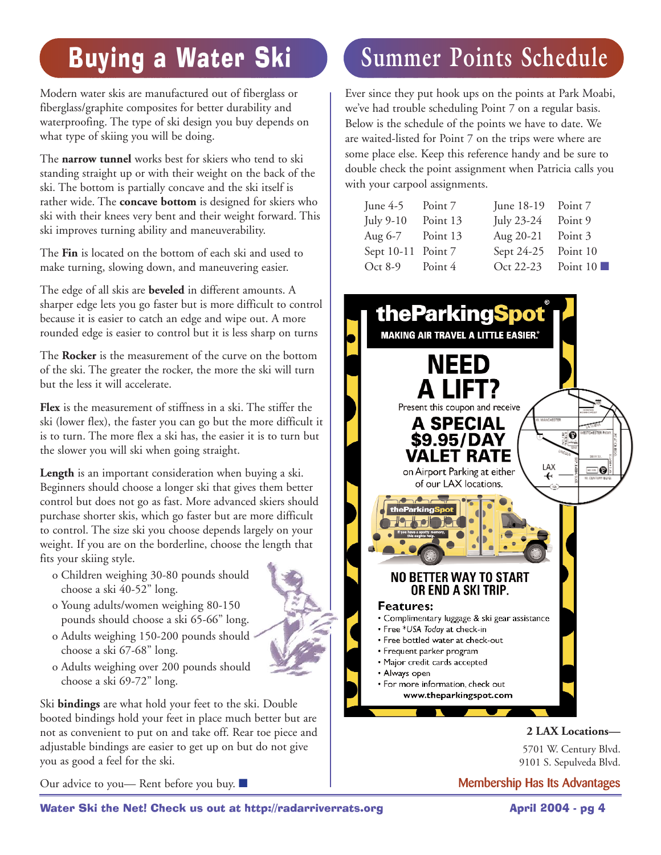# Buying a Water Ski

Modern water skis are manufactured out of fiberglass or fiberglass/graphite composites for better durability and waterproofing. The type of ski design you buy depends on what type of skiing you will be doing.

The **narrow tunnel** works best for skiers who tend to ski standing straight up or with their weight on the back of the ski. The bottom is partially concave and the ski itself is rather wide. The **concave bottom** is designed for skiers who ski with their knees very bent and their weight forward. This ski improves turning ability and maneuverability.

The **Fin** is located on the bottom of each ski and used to make turning, slowing down, and maneuvering easier.

The edge of all skis are **beveled** in different amounts. A sharper edge lets you go faster but is more difficult to control because it is easier to catch an edge and wipe out. A more rounded edge is easier to control but it is less sharp on turns

The **Rocker** is the measurement of the curve on the bottom of the ski. The greater the rocker, the more the ski will turn but the less it will accelerate.

**Flex** is the measurement of stiffness in a ski. The stiffer the ski (lower flex), the faster you can go but the more difficult it is to turn. The more flex a ski has, the easier it is to turn but the slower you will ski when going straight.

**Length** is an important consideration when buying a ski. Beginners should choose a longer ski that gives them better control but does not go as fast. More advanced skiers should purchase shorter skis, which go faster but are more difficult to control. The size ski you choose depends largely on your weight. If you are on the borderline, choose the length that fits your skiing style.

- o Children weighing 30-80 pounds should choose a ski 40-52" long.
- o Young adults/women weighing 80-150 pounds should choose a ski 65-66" long.
- o Adults weighing 150-200 pounds should choose a ski 67-68" long.
- o Adults weighing over 200 pounds should choose a ski 69-72" long.

Ski **bindings** are what hold your feet to the ski. Double booted bindings hold your feet in place much better but are not as convenient to put on and take off. Rear toe piece and adjustable bindings are easier to get up on but do not give you as good a feel for the ski.

Our advice to you— Rent before you buy. ■

# **Summer Points Schedule**

Ever since they put hook ups on the points at Park Moabi, we've had trouble scheduling Point 7 on a regular basis. Below is the schedule of the points we have to date. We are waited-listed for Point 7 on the trips were where are some place else. Keep this reference handy and be sure to double check the point assignment when Patricia calls you with your carpool assignments.

| June $4-5$         | Point 7  | June 18-19 Point 7 |                         |
|--------------------|----------|--------------------|-------------------------|
| July 9-10          | Point 13 | July 23-24         | Point 9                 |
| Aug 6-7            | Point 13 | Aug 20-21          | Point 3                 |
| Sept 10-11 Point 7 |          | Sept 24-25         | Point 10                |
| Oct 8-9            | Point 4  | Oct 22-23          | Point $10 \blacksquare$ |
|                    |          |                    |                         |



5701 W. Century Blvd. 9101 S. Sepulveda Blvd.

**Membership Has Its Advantages**

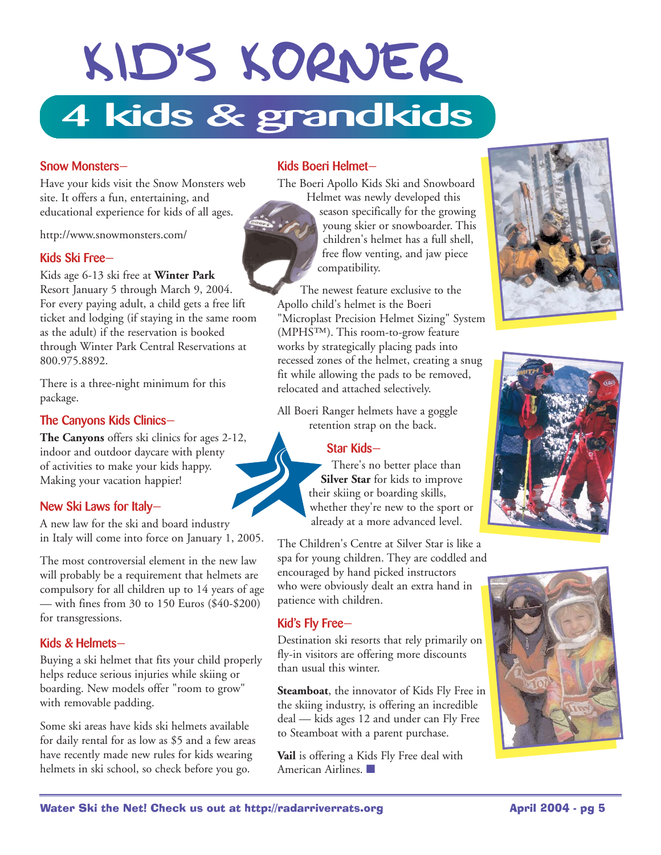# KID'S KORNER **4 kids & grandkids**

#### **Snow Monsters—**

Have your kids visit the Snow Monsters web site. It offers a fun, entertaining, and educational experience for kids of all ages.

http://www.snowmonsters.com/

#### **Kids Ski Free—**

Kids age 6-13 ski free at **Winter Park** Resort January 5 through March 9, 2004. For every paying adult, a child gets a free lift ticket and lodging (if staying in the same room as the adult) if the reservation is booked through Winter Park Central Reservations at 800.975.8892.

There is a three-night minimum for this package.

#### **The Canyons Kids Clinics—**

**The Canyons** offers ski clinics for ages 2-12, indoor and outdoor daycare with plenty of activities to make your kids happy. Making your vacation happier!

#### **New Ski Laws for Italy—**

A new law for the ski and board industry in Italy will come into force on January 1, 2005.

The most controversial element in the new law will probably be a requirement that helmets are compulsory for all children up to 14 years of age — with fines from 30 to 150 Euros (\$40-\$200) for transgressions.

#### **Kids & Helmets—**

Buying a ski helmet that fits your child properly helps reduce serious injuries while skiing or boarding. New models offer "room to grow" with removable padding.

Some ski areas have kids ski helmets available for daily rental for as low as \$5 and a few areas have recently made new rules for kids wearing helmets in ski school, so check before you go.

#### **Kids Boeri Helmet—**

The Boeri Apollo Kids Ski and Snowboard Helmet was newly developed this

season specifically for the growing young skier or snowboarder. This children's helmet has a full shell, free flow venting, and jaw piece compatibility.

The newest feature exclusive to the Apollo child's helmet is the Boeri "Microplast Precision Helmet Sizing" System (MPHS™). This room-to-grow feature works by strategically placing pads into recessed zones of the helmet, creating a snug fit while allowing the pads to be removed, relocated and attached selectively.

All Boeri Ranger helmets have a goggle retention strap on the back.

#### **Star Kids—**

There's no better place than **Silver Star** for kids to improve their skiing or boarding skills, whether they're new to the sport or already at a more advanced level.

The Children's Centre at Silver Star is like a spa for young children. They are coddled and encouraged by hand picked instructors who were obviously dealt an extra hand in patience with children.

#### **Kid's Fly Free—**

Destination ski resorts that rely primarily on fly-in visitors are offering more discounts than usual this winter.

**Steamboat**, the innovator of Kids Fly Free in the skiing industry, is offering an incredible deal — kids ages 12 and under can Fly Free to Steamboat with a parent purchase.

**Vail** is offering a Kids Fly Free deal with American Airlines. ■









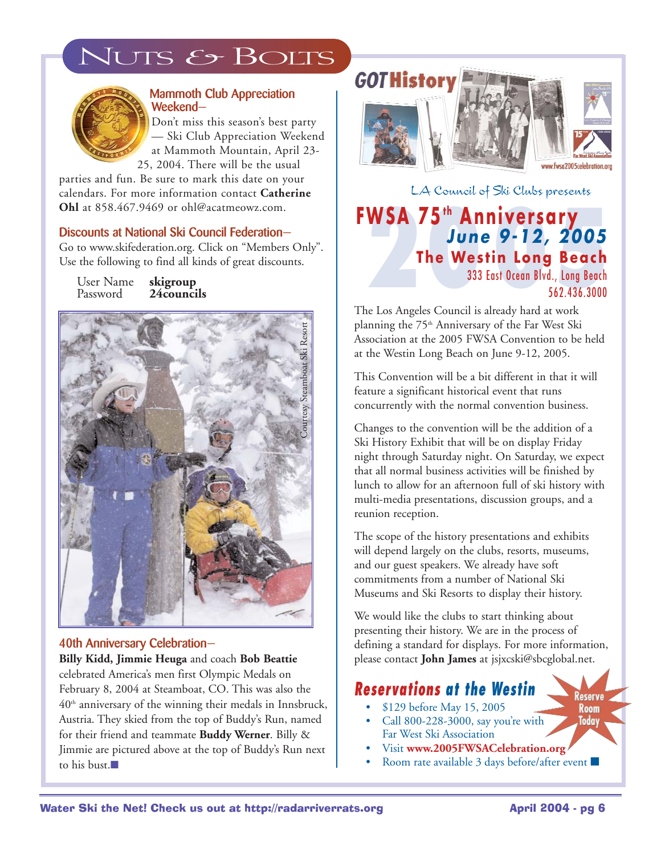## JUTS & BOLTS



#### **Mammoth Club Appreciation Weekend—**

Don't miss this season's best party — Ski Club Appreciation Weekend at Mammoth Mountain, April 23- 25, 2004. There will be the usual

parties and fun. Be sure to mark this date on your calendars. For more information contact **Catherine Ohl** at 858.467.9469 or ohl@acatmeowz.com.

#### **Discounts at National Ski Council Federation—**

Go to www.skifederation.org. Click on "Members Only". Use the following to find all kinds of great discounts.

User Name **skigroup** Password **24councils**



#### **40th Anniversary Celebration—**

**Billy Kidd, Jimmie Heuga** and coach **Bob Beattie** celebrated America's men first Olympic Medals on February 8, 2004 at Steamboat, CO. This was also the  $40<sup>th</sup>$  anniversary of the winning their medals in Innsbruck, Austria. They skied from the top of Buddy's Run, named for their friend and teammate **Buddy Werner**. Billy & Jimmie are pictured above at the top of Buddy's Run next to his bust.■

# **GOTHistory**



LA Council of Ski Clubs presents

**2005 FWSA 75t h Anniversary** *June 9-12, 2005* **The Westin Long Beach** 333 East Ocean Blvd., Long Beach 562.436.3000

The Los Angeles Council is already hard at work planning the 75<sup>th</sup> Anniversary of the Far West Ski Association at the 2005 FWSA Convention to be held at the Westin Long Beach on June 9-12, 2005.

This Convention will be a bit different in that it will feature a significant historical event that runs concurrently with the normal convention business.

Changes to the convention will be the addition of a Ski History Exhibit that will be on display Friday night through Saturday night. On Saturday, we expect that all normal business activities will be finished by lunch to allow for an afternoon full of ski history with multi-media presentations, discussion groups, and a reunion reception.

The scope of the history presentations and exhibits will depend largely on the clubs, resorts, museums, and our guest speakers. We already have soft commitments from a number of National Ski Museums and Ski Resorts to display their history.

We would like the clubs to start thinking about presenting their history. We are in the process of defining a standard for displays. For more information, please contact **John James** at jsjxcski@sbcglobal.net.

#### *Reservations at the Westin*

- \$129 before May 15, 2005
- Call 800-228-3000, say you're with Far West Ski Association
- Visit **www.2005FWSACelebration.org**
- Room rate available 3 days before/after event ■

Reserve Room Today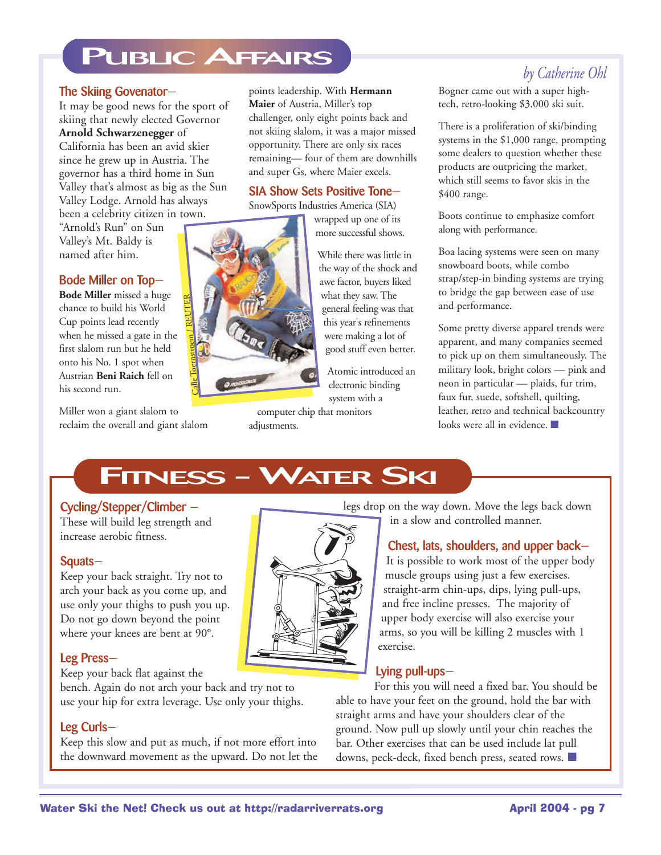## **PUBLIC AFFAIRS**

#### **The Skiing Govenator—**

It may be good news for the sport of skiing that newly elected Governor **Arnold Schwarzenegger** of

California has been an avid skier since he grew up in Austria. The governor has a third home in Sun Valley that's almost as big as the Sun Valley Lodge. Arnold has always been a celebrity citizen in town.

"Arnold's Run" on Sun Valley's Mt. Baldy is named after him.

#### **Bode Miller on Top—**

**Bode Miller** missed a huge chance to build his World Cup points lead recently when he missed a gate in the first slalom run but he held onto his No. 1 spot when Austrian **Beni Raich** fell on his second run.

Miller won a giant slalom to reclaim the overall and giant slalom

points leadership. With **Hermann Maier** of Austria, Miller's top challenger, only eight points back and not skiing slalom, it was a major missed opportunity. There are only six races remaining— four of them are downhills and super Gs, where Maier excels.

#### **SIA Show Sets Positive Tone—**

SnowSports Industries America (SIA)

wrapped up one of its more successful shows.

While there was little in the way of the shock and awe factor, buyers liked what they saw. The general feeling was that this year's refinements were making a lot of good stuff even better.

Atomic introduced an electronic binding system with a

computer chip that monitors adjustments.

#### *by Catherine Ohl*

Bogner came out with a super hightech, retro-looking \$3,000 ski suit.

There is a proliferation of ski/binding systems in the \$1,000 range, prompting some dealers to question whether these products are outpricing the market, which still seems to favor skis in the \$400 range.

Boots continue to emphasize comfort along with performance.

Boa lacing systems were seen on many snowboard boots, while combo strap/step-in binding systems are trying to bridge the gap between ease of use and performance.

Some pretty diverse apparel trends were apparent, and many companies seemed to pick up on them simultaneously. The military look, bright colors — pink and neon in particular — plaids, fur trim, faux fur, suede, softshell, quilting, leather, retro and technical backcountry looks were all in evidence. ■

#### **Cycling/Stepper/Climber —**

These will build leg strength and increase aerobic fitness.

#### **Squats—**

Keep your back straight. Try not to arch your back as you come up, and use only your thighs to push you up. Do not go down beyond the point where your knees are bent at 90°.

#### **Leg Press—**

Keep your back flat against the bench. Again do not arch your back and try not to

use your hip for extra leverage. Use only your thighs.

#### **Leg Curls—**

Keep this slow and put as much, if not more effort into the downward movement as the upward. Do not let the

legs drop on the way down. Move the legs back down in a slow and controlled manner.

#### **Chest, lats, shoulders, and upper back—**

It is possible to work most of the upper body muscle groups using just a few exercises. straight-arm chin-ups, dips, lying pull-ups, and free incline presses. The majority of upper body exercise will also exercise your arms, so you will be killing 2 muscles with 1 exercise.

#### **Lying pull-ups—**

For this you will need a fixed bar. You should be able to have your feet on the ground, hold the bar with straight arms and have your shoulders clear of the ground. Now pull up slowly until your chin reaches the bar. Other exercises that can be used include lat pull downs, peck-deck, fixed bench press, seated rows. ■

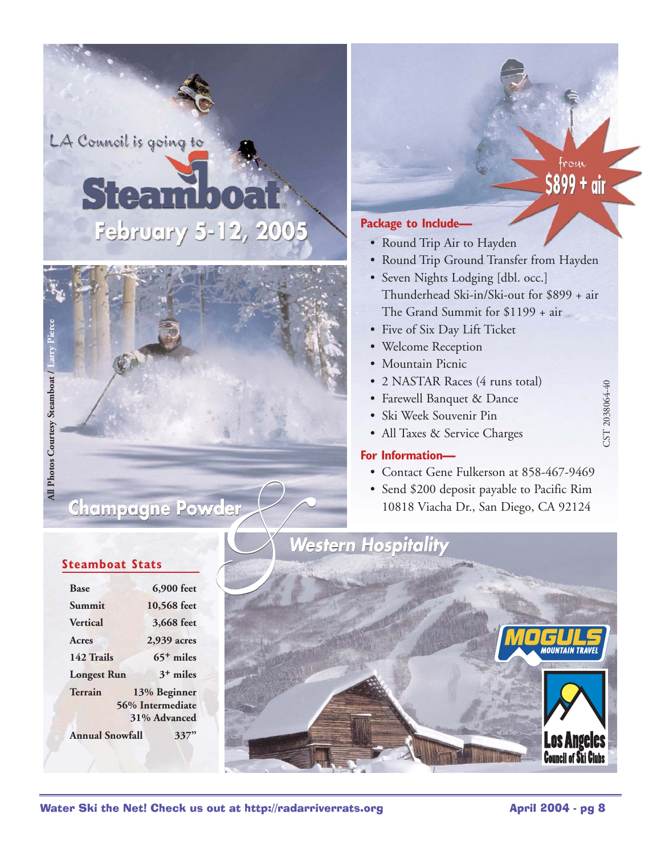LA Council is going to

# **Steam** February 5-12, 2005



# $5899 + \text{air}$

CST 2038064-40

#### **Package to Include—**

- Round Trip Air to Hayden
- Round Trip Ground Transfer from Hayden
- Seven Nights Lodging [dbl. occ.] Thunderhead Ski-in/Ski-out for \$899 + air The Grand Summit for \$1199 + air
- Five of Six Day Lift Ticket
- Welcome Reception
- Mountain Picnic
- 2 NASTAR Races (4 runs total)
- Farewell Banquet & Dance
- Ski Week Souvenir Pin
- All Taxes & Service Charges

#### **For Information—**

- Contact Gene Fulkerson at 858-467-9469
- Send \$200 deposit payable to Pacific Rim 10818 Viacha Dr., San Diego, CA 92124



#### **Steamboat Stats**

| <b>Base</b>            | 6,900 feet       |
|------------------------|------------------|
| Summit                 | 10,568 feet      |
| <b>Vertical</b>        | 3,668 feet       |
| Acres                  | 2,939 acres      |
| 142 Trails             | $65+$ miles      |
| <b>Longest Run</b>     | $3+$ miles       |
| Terrain                | 13% Beginner     |
|                        | 56% Intermediate |
|                        | 31% Advanced     |
| <b>Annual Snowfall</b> | 33               |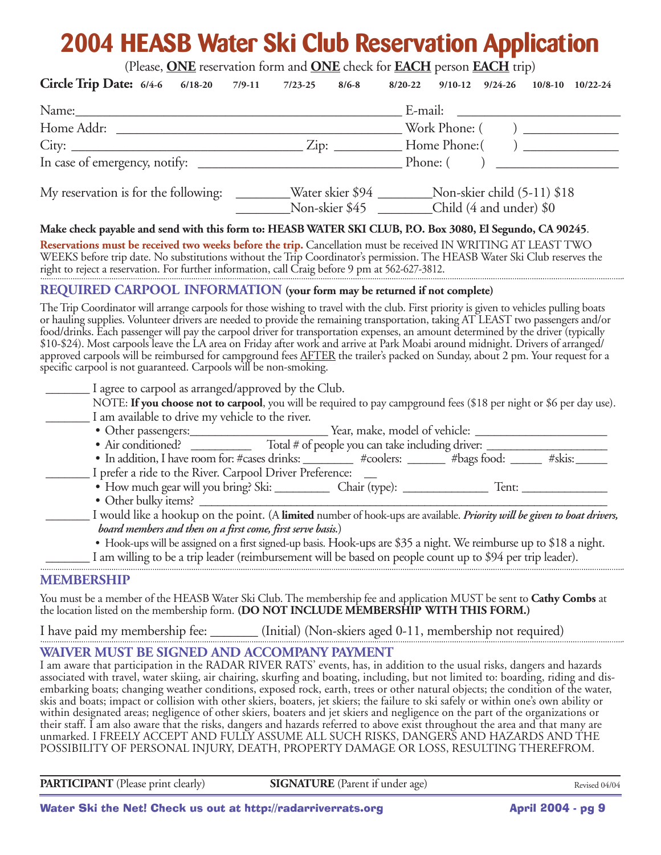# **2004 HEASB Water Ski Club Reservation Application**

(Please, **ONE** reservation form and **ONE** check for **EACH** person **EACH** trip)

| <b>Circle Trip Date:</b> $6/4-6$ $6/18-20$                                                                                                                                                                                                                  | $7/23-25$<br>7/9-11<br>$8/6 - 8$ | $8/20 - 22$<br>$9/10-12$ $9/24-26$<br>$10/8-10$ $10/22-24$                                                                                                                                                                                                                                                                                                                                                                                                                                                                                                                                                                                                                                                                                                                                                                                                                                                                                                                                    |  |
|-------------------------------------------------------------------------------------------------------------------------------------------------------------------------------------------------------------------------------------------------------------|----------------------------------|-----------------------------------------------------------------------------------------------------------------------------------------------------------------------------------------------------------------------------------------------------------------------------------------------------------------------------------------------------------------------------------------------------------------------------------------------------------------------------------------------------------------------------------------------------------------------------------------------------------------------------------------------------------------------------------------------------------------------------------------------------------------------------------------------------------------------------------------------------------------------------------------------------------------------------------------------------------------------------------------------|--|
| Name: 1000 million and 1000 million and 1000 million and 1000 million and 1000 million and 1000 million and 1000 million and 1000 million and 1000 million and 1000 million and 1000 million and 1000 million and 1000 million                              |                                  | E-mail:                                                                                                                                                                                                                                                                                                                                                                                                                                                                                                                                                                                                                                                                                                                                                                                                                                                                                                                                                                                       |  |
|                                                                                                                                                                                                                                                             |                                  |                                                                                                                                                                                                                                                                                                                                                                                                                                                                                                                                                                                                                                                                                                                                                                                                                                                                                                                                                                                               |  |
|                                                                                                                                                                                                                                                             |                                  |                                                                                                                                                                                                                                                                                                                                                                                                                                                                                                                                                                                                                                                                                                                                                                                                                                                                                                                                                                                               |  |
|                                                                                                                                                                                                                                                             |                                  | Phone: (                                                                                                                                                                                                                                                                                                                                                                                                                                                                                                                                                                                                                                                                                                                                                                                                                                                                                                                                                                                      |  |
| My reservation is for the following: _________Water skier \$94 __________Non-skier child (5-11) \$18                                                                                                                                                        |                                  | Non-skier \$45 _______Child (4 and under) \$0                                                                                                                                                                                                                                                                                                                                                                                                                                                                                                                                                                                                                                                                                                                                                                                                                                                                                                                                                 |  |
|                                                                                                                                                                                                                                                             |                                  | Make check payable and send with this form to: HEASB WATER SKI CLUB, P.O. Box 3080, El Segundo, CA 90245.                                                                                                                                                                                                                                                                                                                                                                                                                                                                                                                                                                                                                                                                                                                                                                                                                                                                                     |  |
| right to reject a reservation. For further information, call Craig before 9 pm at 562-627-3812.                                                                                                                                                             |                                  | Reservations must be received two weeks before the trip. Cancellation must be received IN WRITING AT LEAST TWO<br>WEEKS before trip date. No substitutions without the Trip Coordinator's permission. The HEASB Water Ski Club reserves the                                                                                                                                                                                                                                                                                                                                                                                                                                                                                                                                                                                                                                                                                                                                                   |  |
| REQUIRED CARPOOL INFORMATION (your form may be returned if not complete)                                                                                                                                                                                    |                                  |                                                                                                                                                                                                                                                                                                                                                                                                                                                                                                                                                                                                                                                                                                                                                                                                                                                                                                                                                                                               |  |
| specific carpool is not guaranteed. Carpools will be non-smoking.                                                                                                                                                                                           |                                  | The Trip Coordinator will arrange carpools for those wishing to travel with the club. First priority is given to vehicles pulling boats<br>or hauling supplies. Volunteer drivers are needed to provide the remaining transportation, taking AT LEAST two passengers and/or<br>food/drinks. Each passenger will pay the carpool driver for transportation expenses, an amount determined by the driver (typically<br>\$10-\$24). Most carpools leave the LA area on Friday after work and arrive at Park Moabi around midnight. Drivers of arranged/<br>approved carpools will be reimbursed for campground fees <u>AFTER</u> the trailer's packed on Sunday, about 2 pm. Your request for a                                                                                                                                                                                                                                                                                                  |  |
| I agree to carpool as arranged/approved by the Club.<br>I am available to drive my vehicle to the river.<br>I prefer a ride to the River. Carpool Driver Preference:<br>• Other bulky items?<br>board members and then on a first come, first serve basis.) |                                  | NOTE: If you choose not to carpool, you will be required to pay campground fees (\$18 per night or \$6 per day use).<br>• In addition, I have room for: #cases drinks: ____________ #coolers: ________ #bags food: _______ #skis: ______<br>I would like a hookup on the point. (A limited number of hook-ups are available. Priority will be given to boat drivers,<br>• Hook-ups will be assigned on a first signed-up basis. Hook-ups are \$35 a night. We reimburse up to \$18 a night.<br>I am willing to be a trip leader (reimbursement will be based on people count up to \$94 per trip leader).                                                                                                                                                                                                                                                                                                                                                                                     |  |
|                                                                                                                                                                                                                                                             |                                  |                                                                                                                                                                                                                                                                                                                                                                                                                                                                                                                                                                                                                                                                                                                                                                                                                                                                                                                                                                                               |  |
| <b>MEMBERSHIP</b><br>the location listed on the membership form. (DO NOT INCLUDE MEMBERSHIP WITH THIS FORM.)                                                                                                                                                |                                  | You must be a member of the HEASB Water Ski Club. The membership fee and application MUST be sent to Cathy Combs at                                                                                                                                                                                                                                                                                                                                                                                                                                                                                                                                                                                                                                                                                                                                                                                                                                                                           |  |
| I have paid my membership fee: ________ (Initial) (Non-skiers aged 0-11, membership not required)                                                                                                                                                           |                                  |                                                                                                                                                                                                                                                                                                                                                                                                                                                                                                                                                                                                                                                                                                                                                                                                                                                                                                                                                                                               |  |
| WAIVER MUST BE SIGNED AND ACCOMPANY PAYMENT                                                                                                                                                                                                                 |                                  | I am aware that participation in the RADAR RIVER RATS' events, has, in addition to the usual risks, dangers and hazards<br>associated with travel, water skiing, air chairing, skurfing and boating, including, but not limited to: boarding, riding and dis-<br>embarking boats; changing weather conditions, exposed rock, earth, trees or other natural objects; the condition of the water,<br>skis and boats; impact or collision with other skiers, boaters, jet skiers; the failure to ski safely or within one's own ability or<br>within designated areas; negligence of other skiers, boaters and jet skiers and negligence on the part of the organizations or<br>their staff. I am also aware that the risks, dangers and hazards referred to above exist throughout the area and that many are<br>unmarked. I FREELY ACCEPT AND FULLY ASSUME ALL SUCH RISKS, DANGERS AND HAZARDS AND THE<br>POSSIBILITY OF PERSONAL INJURY, DEATH, PROPERTY DAMAGE OR LOSS, RESULTING THEREFROM. |  |

**PARTICIPANT** (Please print clearly) **SIGNATURE** (Parent if under age)